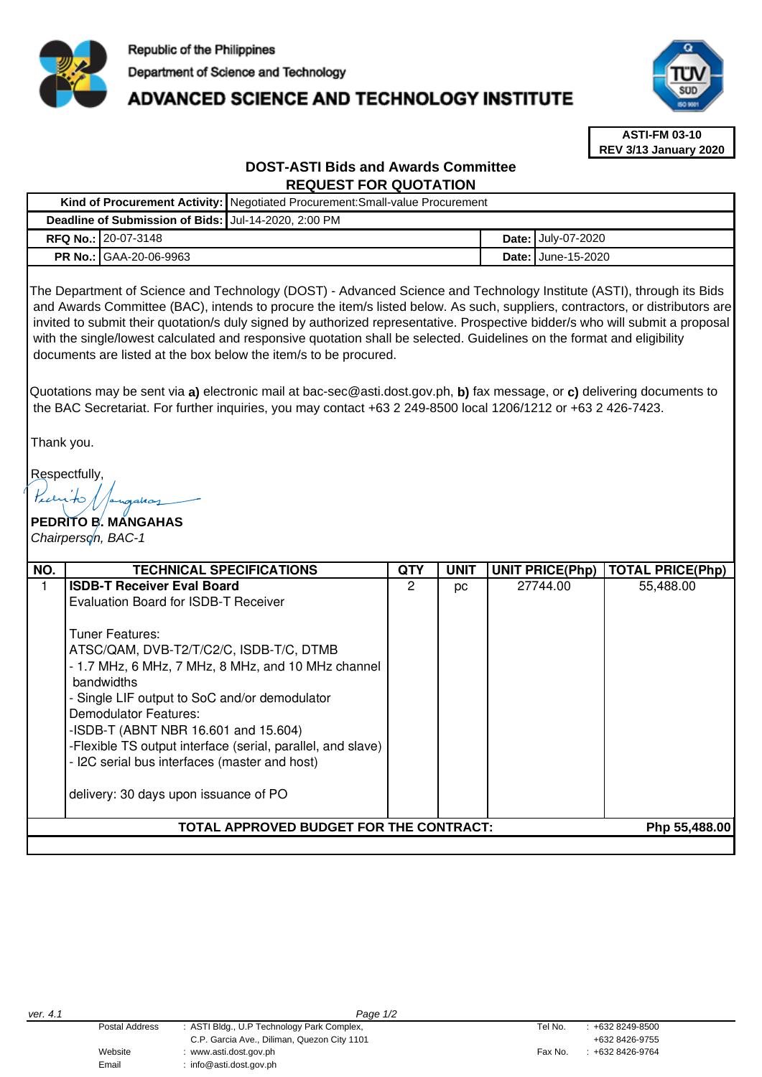

# **ADVANCED SCIENCE AND TECHNOLOGY INSTITUTE**



**ASTI-FM 03-10 REV 3/13 January 2020**

# **DOST-ASTI Bids and Awards Committee REQUEST FOR QUOTATION**

|  |                                                       | Kind of Procurement Activity:   Negotiated Procurement: Small-value Procurement |  |                           |  |  |
|--|-------------------------------------------------------|---------------------------------------------------------------------------------|--|---------------------------|--|--|
|  | Deadline of Submission of Bids: JJul-14-2020, 2:00 PM |                                                                                 |  |                           |  |  |
|  | <b>RFQ No.: 20-07-3148</b>                            |                                                                                 |  | <b>Date: July-07-2020</b> |  |  |
|  | <b>PR No.: GAA-20-06-9963</b>                         |                                                                                 |  | <b>Date: June-15-2020</b> |  |  |

The Department of Science and Technology (DOST) - Advanced Science and Technology Institute (ASTI), through its Bids and Awards Committee (BAC), intends to procure the item/s listed below. As such, suppliers, contractors, or distributors are invited to submit their quotation/s duly signed by authorized representative. Prospective bidder/s who will submit a proposal with the single/lowest calculated and responsive quotation shall be selected. Guidelines on the format and eligibility documents are listed at the box below the item/s to be procured.

Quotations may be sent via **a)** electronic mail at bac-sec@asti.dost.gov.ph, **b)** fax message, or **c)** delivering documents to the BAC Secretariat. For further inquiries, you may contact +63 2 249-8500 local 1206/1212 or +63 2 426-7423.

Thank you.

Respectfully,

**PEDRITO B. MANGAHAS**  Chairperson, BAC-1

| NO.                                                      | <b>TECHNICAL SPECIFICATIONS</b>                                                                                                                                                                                                                                                                                                                                                                     | QTY | <b>UNIT</b> | <b>UNIT PRICE(Php)</b> | <b>TOTAL PRICE(Php)</b> |  |  |
|----------------------------------------------------------|-----------------------------------------------------------------------------------------------------------------------------------------------------------------------------------------------------------------------------------------------------------------------------------------------------------------------------------------------------------------------------------------------------|-----|-------------|------------------------|-------------------------|--|--|
|                                                          | <b>ISDB-T Receiver Eval Board</b><br>Evaluation Board for ISDB-T Receiver<br>Tuner Features:<br>ATSC/QAM, DVB-T2/T/C2/C, ISDB-T/C, DTMB<br>- 1.7 MHz, 6 MHz, 7 MHz, 8 MHz, and 10 MHz channel<br><b>bandwidths</b><br>- Single LIF output to SoC and/or demodulator<br>Demodulator Features:<br>-ISDB-T (ABNT NBR 16.601 and 15.604)<br>-Flexible TS output interface (serial, parallel, and slave) | 2   | рc          | 27744.00               | 55,488.00               |  |  |
|                                                          | - I2C serial bus interfaces (master and host)<br>delivery: 30 days upon issuance of PO                                                                                                                                                                                                                                                                                                              |     |             |                        |                         |  |  |
| TOTAL APPROVED BUDGET FOR THE CONTRACT:<br>Php 55,488.00 |                                                                                                                                                                                                                                                                                                                                                                                                     |     |             |                        |                         |  |  |
|                                                          |                                                                                                                                                                                                                                                                                                                                                                                                     |     |             |                        |                         |  |  |

Email : info@asti.dost.gov.ph